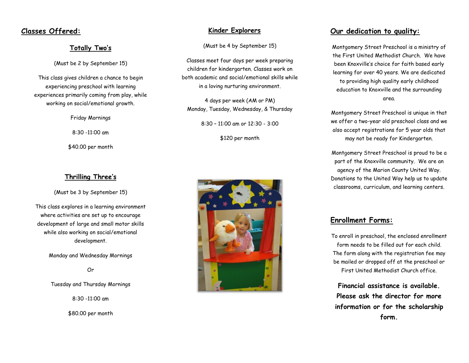## **Classes Offered:**

#### **Totally Two's**

(Must be 2 by September 15)

This class gives children a chance to begin experiencing preschool with learning experiences primarily coming from play, while working on social/emotional growth.

Friday Mornings

8:30 -11:00 am

\$40.00 per month

#### **Thrilling Three's**

(Must be 3 by September 15)

This class explores in a learning environment where activities are set up to encourage development of large and small motor skills while also working on social/emotional development.

Monday and Wednesday Mornings

Or

Tuesday and Thursday Mornings

8:30 -11:00 am

\$80.00 per month

#### **Kinder Explorers**

(Must be 4 by September 15)

Classes meet four days per week preparing children for kindergarten. Classes work on both academic and social/emotional skills while in a loving nurturing environment.

4 days per week (AM or PM) Monday, Tuesday, Wednesday, & Thursday

8:30 – 11:00 am or 12:30 - 3:00

\$120 per month



### **Our dedication to quality:**

Montgomery Street Preschool is a ministry of the First United Methodist Church. We have been Knoxville's choice for faith based early learning for over 40 years. We are dedicated to providing high quality early childhood education to Knoxville and the surrounding area.

Montgomery Street Preschool is unique in that we offer a two-year old preschool class and we also accept registrations for 5 year olds that may not be ready for Kindergarten.

Montgomery Street Preschool is proud to be a part of the Knoxville community. We are an agency of the Marion County United Way. Donations to the United Way help us to update classrooms, curriculum, and learning centers.

## **Enrollment Forms:**

To enroll in preschool, the enclosed enrollment form needs to be filled out for each child. The form along with the registration fee may be mailed or dropped off at the preschool or First United Methodist Church office.

**Financial assistance is available. Please ask the director for more information or for the scholarship form.**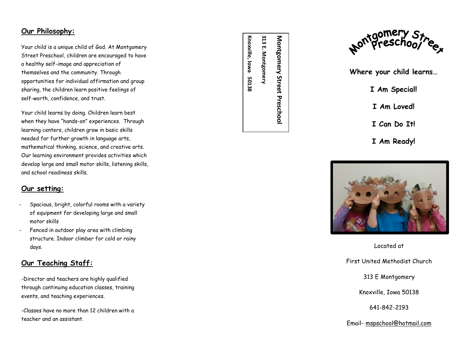## **Our Philosophy :**

Your child is a unique child of God. At Montgomery Street Preschool, children are encouraged to have a healthy self -image and appreciation of themselves and the community. Through opportunities for individual affirmation and group sharing, the children learn positive feelings of self -worth, confidence, and trust.

Your child learns by doing. Children learn best when they have "hands -on" experiences. Through learning centers, children grow in basic skills needed for further growth in language arts, mathematical thinking, science, and creative arts. Our learning environment provides activities which develop large and small motor skills, listening skills, and school readiness skills.

# **Our setting:**

- Spacious, bright, colorful rooms with a variety of equipment for developing large and small motor skills
- Fenced in outdoor play area with climbing structure. Indoor climber for cold or rainy days.

# **Our Teaching Staff:**

-Director and teachers are highly qualified through continuing education classes, training events, and teaching experiences. -Classes have no more than 12 children with a

teacher and an assistant.

**Montgomery Street Preschool** 

Montgomery Street Preschool



**Where your child learns…**

- **I Am Special!**
- **I Am Loved!**
- **I Can Do It!**
- **I Am Ready!**



Located at

First United Methodist Church

313 E Montgomery

Knoxville, Iowa 50138

641 -842 -2193

Email - [mspschool@hotmail.com](mailto:mspschool@hotmail.com)